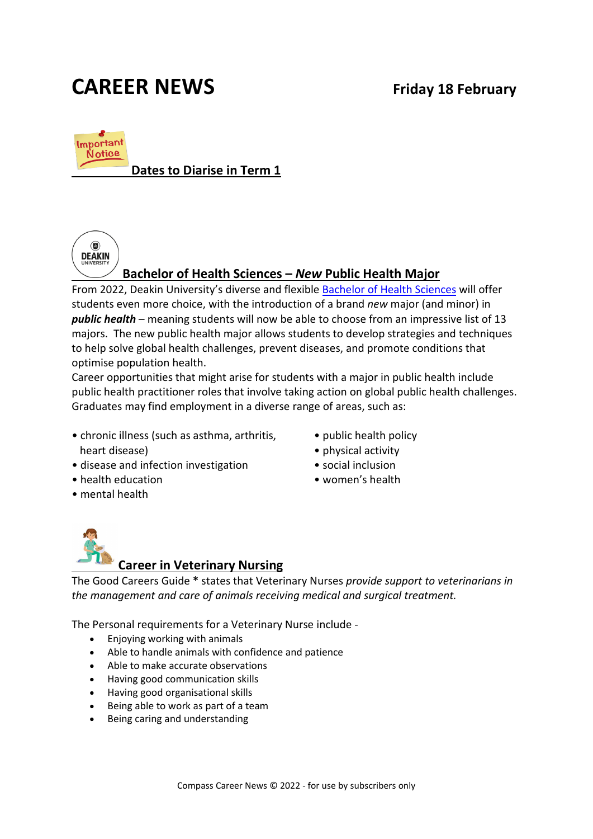# **CAREER NEWS Friday 18 February**



# **Dates to Diarise in Term 1**



# **Bachelor of Health Sciences –** *New* **Public Health Major**

From 2022, Deakin University's diverse and flexible [Bachelor of Health Sciences](https://www.deakin.edu.au/course/bachelor-health-sciences) will offer students even more choice, with the introduction of a brand *new* major (and minor) in *public health* – meaning students will now be able to choose from an impressive list of 13 majors. The new public health major allows students to develop strategies and techniques to help solve global health challenges, prevent diseases, and promote conditions that optimise population health.

Career opportunities that might arise for students with a major in public health include public health practitioner roles that involve taking action on global public health challenges. Graduates may find employment in a diverse range of areas, such as:

- chronic illness (such as asthma, arthritis, heart disease)
- disease and infection investigation
- health education
- mental health
- public health policy
- physical activity
- social inclusion
- women's health



The Good Careers Guide **\*** states that Veterinary Nurses *provide support to veterinarians in the management and care of animals receiving medical and surgical treatment.* 

The Personal requirements for a Veterinary Nurse include -

- Enjoying working with animals
- Able to handle animals with confidence and patience
- Able to make accurate observations
- Having good communication skills
- Having good organisational skills
- Being able to work as part of a team
- Being caring and understanding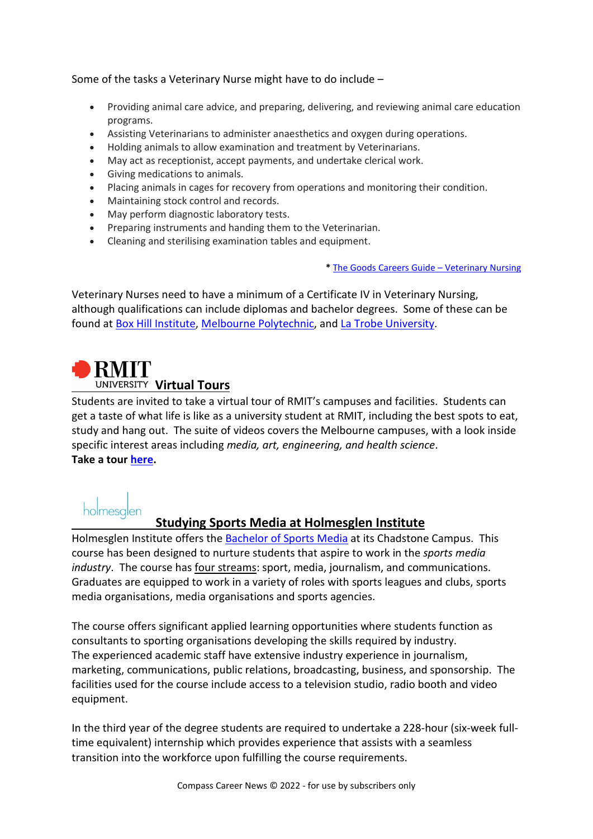#### Some of the tasks a Veterinary Nurse might have to do include –

- Providing animal care advice, and preparing, delivering, and reviewing animal care education programs.
- Assisting Veterinarians to administer anaesthetics and oxygen during operations.
- Holding animals to allow examination and treatment by Veterinarians.
- May act as receptionist, accept payments, and undertake clerical work.
- Giving medications to animals.
- Placing animals in cages for recovery from operations and monitoring their condition.
- Maintaining stock control and records.
- May perform diagnostic laboratory tests.
- Preparing instruments and handing them to the Veterinarian.
- Cleaning and sterilising examination tables and equipment.

**\*** [The Goods Careers Guide –](https://www.gooduniversitiesguide.com.au/careers-guide/veterinary-nurse) Veterinary Nursing

Veterinary Nurses need to have a minimum of a Certificate IV in Veterinary Nursing, although qualifications can include diplomas and bachelor degrees. Some of these can be found at [Box Hill Institute,](https://www.boxhill.edu.au/courses/certificate-iv-in-veterinary-nursing-vn400-d/) [Melbourne Polytechnic,](https://www.melbournepolytechnic.edu.au/study/certificate-iv/veterinary-nursing/) and [La Trobe University.](https://www.latrobe.edu.au/courses/bachelor-of-veterinary-nursing)

# **RMIT Virtual Tours**

Students are invited to take a virtual tour of RMIT's campuses and facilities. Students can get a taste of what life is like as a university student at RMIT, including the best spots to eat, study and hang out. The suite of videos covers the Melbourne campuses, with a look inside specific interest areas including *media, art, engineering, and health science*. **Take a tour [here.](https://www.youtube.com/playlist?list=PL8uYOKwoXWA8DckaTL_JfrVRbN8w5tSlX)**

# holmesalen

# **Studying Sports Media at Holmesglen Institute**

Holmesglen Institute offers the [Bachelor of Sports Media](https://holmesglen.edu.au/Courses/Sport-Fitness-and-Wellbeing/Sport/Bachelor-of-Sports-Media/) at its Chadstone Campus. This course has been designed to nurture students that aspire to work in the *sports media industry*. The course has four streams: sport, media, journalism, and communications. Graduates are equipped to work in a variety of roles with sports leagues and clubs, sports media organisations, media organisations and sports agencies.

The course offers significant applied learning opportunities where students function as consultants to sporting organisations developing the skills required by industry. The experienced academic staff have extensive industry experience in journalism, marketing, communications, public relations, broadcasting, business, and sponsorship. The facilities used for the course include access to a television studio, radio booth and video equipment.

In the third year of the degree students are required to undertake a 228-hour (six-week fulltime equivalent) internship which provides experience that assists with a seamless transition into the workforce upon fulfilling the course requirements.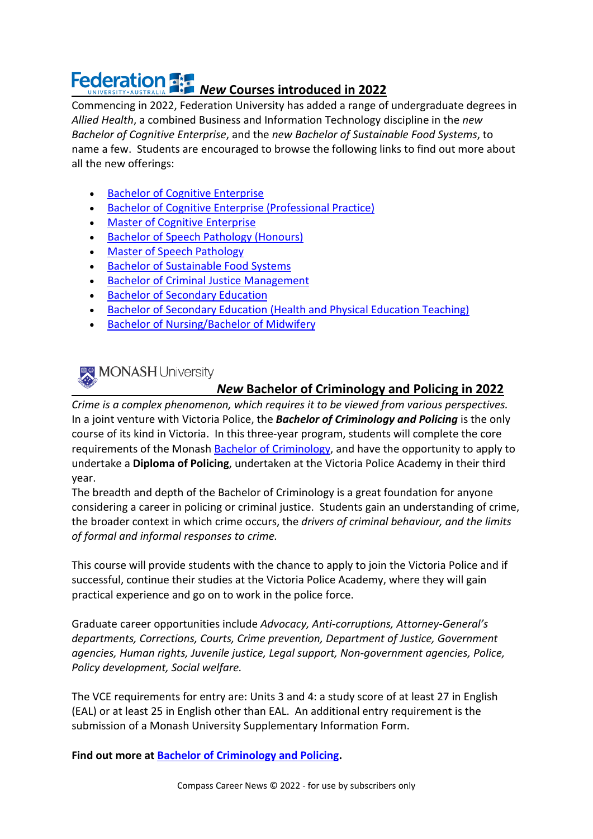# **Federation Fig. New Courses introduced in 2022**

Commencing in 2022, Federation University has added a range of undergraduate degrees in *Allied Health*, a combined Business and Information Technology discipline in the *new Bachelor of Cognitive Enterprise*, and the *new Bachelor of Sustainable Food Systems*, to name a few. Students are encouraged to browse the following links to find out more about all the new offerings:

- [Bachelor of Cognitive Enterprise](https://study.federation.edu.au/course/DBG5)
- [Bachelor of Cognitive Enterprise \(Professional Practice\)](https://study.federation.edu.au/course/DBF5)
- [Master of Cognitive Enterprise](https://study.federation.edu.au/course/DCE9)
- [Bachelor of Speech Pathology \(Honours\)](https://study.federation.edu.au/course/DST8)
- [Master of Speech Pathology](https://study.federation.edu.au/course/DST9)
- [Bachelor of Sustainable Food Systems](https://study.federation.edu.au/course/DFS5)
- [Bachelor of Criminal Justice Management](https://study.federation.edu.au/course/DHG5)
- [Bachelor of Secondary Education](https://study.federation.edu.au/course/DTN5)
- [Bachelor of Secondary Education \(Health and Physical Education Teaching\)](https://study.federation.edu.au/course/DTN5.HPE)
- [Bachelor of Nursing/Bachelor of Midwifery](https://study.federation.edu.au/course/DHL5)

# MONASH University

# *New* **Bachelor of Criminology and Policing in 2022**

*Crime is a complex phenomenon, which requires it to be viewed from various perspectives.*  In a joint venture with Victoria Police, the *Bachelor of Criminology and Policing* is the only course of its kind in Victoria. In this three-year program, students will complete the core requirements of the Monash [Bachelor of Criminology,](https://www.monash.edu/study/courses/find-a-course/2022/criminology-a2008) and have the opportunity to apply to undertake a **Diploma of Policing**, undertaken at the Victoria Police Academy in their third year.

The breadth and depth of the Bachelor of Criminology is a great foundation for anyone considering a career in policing or criminal justice. Students gain an understanding of crime, the broader context in which crime occurs, the *drivers of criminal behaviour, and the limits of formal and informal responses to crime.*

This course will provide students with the chance to apply to join the Victoria Police and if successful, continue their studies at the Victoria Police Academy, where they will gain practical experience and go on to work in the police force.

Graduate career opportunities include *Advocacy, Anti-corruptions, Attorney-General's departments, Corrections, Courts, Crime prevention, Department of Justice, Government agencies, Human rights, Juvenile justice, Legal support, Non-government agencies, Police, Policy development, Social welfare.*

The VCE requirements for entry are: Units 3 and 4: a study score of at least 27 in English (EAL) or at least 25 in English other than EAL. An additional entry requirement is the submission of a Monash University Supplementary Information Form.

**Find out more at [Bachelor of Criminology and Policing.](https://www.monash.edu/study/courses/find-a-course/2022/criminology-and-policing-a2014?domestic=true#course-structure-3)**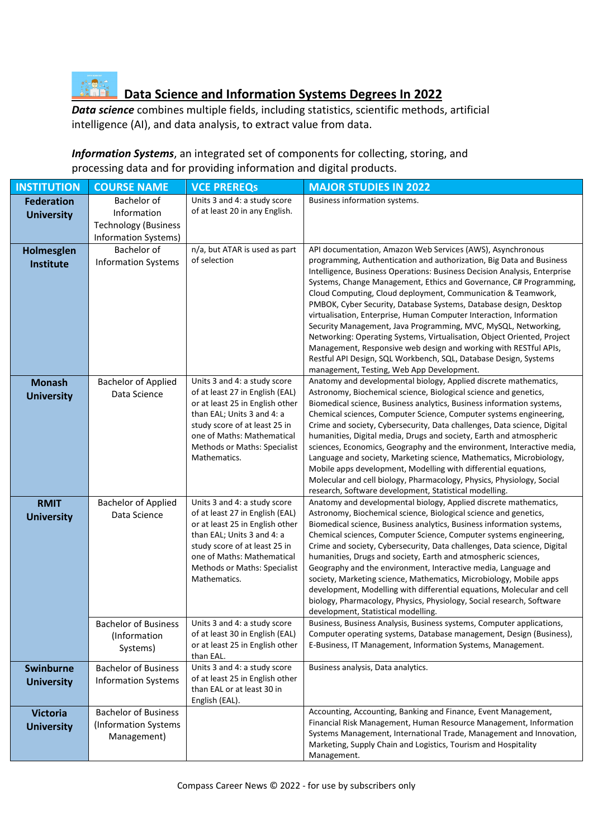

# *Case Data Science and Information Systems Degrees In 2022***<br>
<b>Data Science and Information Systems Degrees In 2022**

*Data science* combines multiple fields, including statistics, scientific methods, artificial intelligence (AI), and data analysis, to extract value from data.

*Information Systems*, an integrated set of components for collecting, storing, and processing data and for providing information and digital products.

| <b>INSTITUTION</b>                     | <b>COURSE NAME</b>                                                                | <b>VCE PREREQS</b>                                                                                                                                                                                                                              | <b>MAJOR STUDIES IN 2022</b>                                                                                                                                                                                                                                                                                                                                                                                                                                                                                                                                                                                                                                                                                                                                                                                                        |
|----------------------------------------|-----------------------------------------------------------------------------------|-------------------------------------------------------------------------------------------------------------------------------------------------------------------------------------------------------------------------------------------------|-------------------------------------------------------------------------------------------------------------------------------------------------------------------------------------------------------------------------------------------------------------------------------------------------------------------------------------------------------------------------------------------------------------------------------------------------------------------------------------------------------------------------------------------------------------------------------------------------------------------------------------------------------------------------------------------------------------------------------------------------------------------------------------------------------------------------------------|
| <b>Federation</b><br><b>University</b> | Bachelor of<br>Information<br><b>Technology (Business</b><br>Information Systems) | Units 3 and 4: a study score<br>of at least 20 in any English.                                                                                                                                                                                  | Business information systems.                                                                                                                                                                                                                                                                                                                                                                                                                                                                                                                                                                                                                                                                                                                                                                                                       |
| Holmesglen<br>Institute                | Bachelor of<br><b>Information Systems</b>                                         | n/a, but ATAR is used as part<br>of selection                                                                                                                                                                                                   | API documentation, Amazon Web Services (AWS), Asynchronous<br>programming, Authentication and authorization, Big Data and Business<br>Intelligence, Business Operations: Business Decision Analysis, Enterprise<br>Systems, Change Management, Ethics and Governance, C# Programming,<br>Cloud Computing, Cloud deployment, Communication & Teamwork,<br>PMBOK, Cyber Security, Database Systems, Database design, Desktop<br>virtualisation, Enterprise, Human Computer Interaction, Information<br>Security Management, Java Programming, MVC, MySQL, Networking,<br>Networking: Operating Systems, Virtualisation, Object Oriented, Project<br>Management, Responsive web design and working with RESTful APIs,<br>Restful API Design, SQL Workbench, SQL, Database Design, Systems<br>management, Testing, Web App Development. |
| <b>Monash</b><br><b>University</b>     | <b>Bachelor of Applied</b><br>Data Science                                        | Units 3 and 4: a study score<br>of at least 27 in English (EAL)<br>or at least 25 in English other<br>than EAL; Units 3 and 4: a<br>study score of at least 25 in<br>one of Maths: Mathematical<br>Methods or Maths: Specialist<br>Mathematics. | Anatomy and developmental biology, Applied discrete mathematics,<br>Astronomy, Biochemical science, Biological science and genetics,<br>Biomedical science, Business analytics, Business information systems,<br>Chemical sciences, Computer Science, Computer systems engineering,<br>Crime and society, Cybersecurity, Data challenges, Data science, Digital<br>humanities, Digital media, Drugs and society, Earth and atmospheric<br>sciences, Economics, Geography and the environment, Interactive media,<br>Language and society, Marketing science, Mathematics, Microbiology,<br>Mobile apps development, Modelling with differential equations,<br>Molecular and cell biology, Pharmacology, Physics, Physiology, Social<br>research, Software development, Statistical modelling.                                       |
| <b>RMIT</b><br><b>University</b>       | <b>Bachelor of Applied</b><br>Data Science                                        | Units 3 and 4: a study score<br>of at least 27 in English (EAL)<br>or at least 25 in English other<br>than EAL; Units 3 and 4: a<br>study score of at least 25 in<br>one of Maths: Mathematical<br>Methods or Maths: Specialist<br>Mathematics. | Anatomy and developmental biology, Applied discrete mathematics,<br>Astronomy, Biochemical science, Biological science and genetics,<br>Biomedical science, Business analytics, Business information systems,<br>Chemical sciences, Computer Science, Computer systems engineering,<br>Crime and society, Cybersecurity, Data challenges, Data science, Digital<br>humanities, Drugs and society, Earth and atmospheric sciences,<br>Geography and the environment, Interactive media, Language and<br>society, Marketing science, Mathematics, Microbiology, Mobile apps<br>development, Modelling with differential equations, Molecular and cell<br>biology, Pharmacology, Physics, Physiology, Social research, Software<br>development, Statistical modelling.                                                                 |
|                                        | (Information)<br>Systems)                                                         | Bachelor of Business   Units 3 and 4: a study score<br>of at least 30 in English (EAL)<br>or at least 25 in English other<br>than EAL.                                                                                                          | Business, Business Analysis, Business systems, Computer applications,<br>Computer operating systems, Database management, Design (Business),<br>E-Business, IT Management, Information Systems, Management.                                                                                                                                                                                                                                                                                                                                                                                                                                                                                                                                                                                                                         |
| <b>Swinburne</b><br><b>University</b>  | <b>Bachelor of Business</b><br><b>Information Systems</b>                         | Units 3 and 4: a study score<br>of at least 25 in English other<br>than EAL or at least 30 in<br>English (EAL).                                                                                                                                 | Business analysis, Data analytics.                                                                                                                                                                                                                                                                                                                                                                                                                                                                                                                                                                                                                                                                                                                                                                                                  |
| <b>Victoria</b><br><b>University</b>   | <b>Bachelor of Business</b><br>(Information Systems<br>Management)                |                                                                                                                                                                                                                                                 | Accounting, Accounting, Banking and Finance, Event Management,<br>Financial Risk Management, Human Resource Management, Information<br>Systems Management, International Trade, Management and Innovation,<br>Marketing, Supply Chain and Logistics, Tourism and Hospitality<br>Management.                                                                                                                                                                                                                                                                                                                                                                                                                                                                                                                                         |